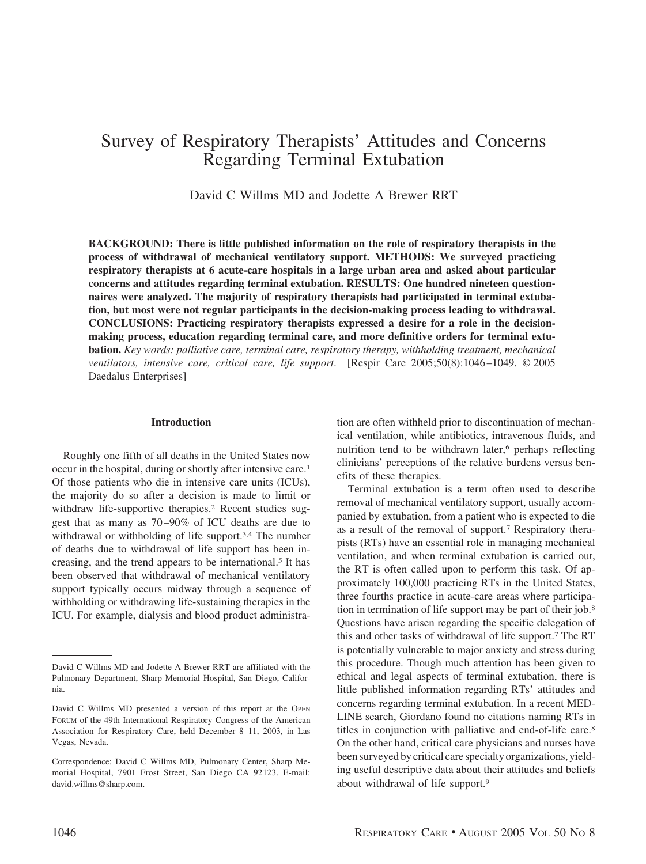# Survey of Respiratory Therapists' Attitudes and Concerns Regarding Terminal Extubation

David C Willms MD and Jodette A Brewer RRT

**BACKGROUND: There is little published information on the role of respiratory therapists in the process of withdrawal of mechanical ventilatory support. METHODS: We surveyed practicing respiratory therapists at 6 acute-care hospitals in a large urban area and asked about particular concerns and attitudes regarding terminal extubation. RESULTS: One hundred nineteen questionnaires were analyzed. The majority of respiratory therapists had participated in terminal extubation, but most were not regular participants in the decision-making process leading to withdrawal. CONCLUSIONS: Practicing respiratory therapists expressed a desire for a role in the decisionmaking process, education regarding terminal care, and more definitive orders for terminal extubation.** *Key words: palliative care, terminal care, respiratory therapy, withholding treatment, mechanical ventilators, intensive care, critical care, life support*. [Respir Care 2005;50(8):1046 –1049. © 2005 Daedalus Enterprises]

# **Introduction**

Roughly one fifth of all deaths in the United States now occur in the hospital, during or shortly after intensive care.1 Of those patients who die in intensive care units (ICUs), the majority do so after a decision is made to limit or withdraw life-supportive therapies.<sup>2</sup> Recent studies suggest that as many as 70 –90% of ICU deaths are due to withdrawal or withholding of life support.<sup>3,4</sup> The number of deaths due to withdrawal of life support has been increasing, and the trend appears to be international.<sup>5</sup> It has been observed that withdrawal of mechanical ventilatory support typically occurs midway through a sequence of withholding or withdrawing life-sustaining therapies in the ICU. For example, dialysis and blood product administra-

tion are often withheld prior to discontinuation of mechanical ventilation, while antibiotics, intravenous fluids, and nutrition tend to be withdrawn later,<sup>6</sup> perhaps reflecting clinicians' perceptions of the relative burdens versus benefits of these therapies.

Terminal extubation is a term often used to describe removal of mechanical ventilatory support, usually accompanied by extubation, from a patient who is expected to die as a result of the removal of support.7 Respiratory therapists (RTs) have an essential role in managing mechanical ventilation, and when terminal extubation is carried out, the RT is often called upon to perform this task. Of approximately 100,000 practicing RTs in the United States, three fourths practice in acute-care areas where participation in termination of life support may be part of their job.8 Questions have arisen regarding the specific delegation of this and other tasks of withdrawal of life support.7 The RT is potentially vulnerable to major anxiety and stress during this procedure. Though much attention has been given to ethical and legal aspects of terminal extubation, there is little published information regarding RTs' attitudes and concerns regarding terminal extubation. In a recent MED-LINE search, Giordano found no citations naming RTs in titles in conjunction with palliative and end-of-life care.<sup>8</sup> On the other hand, critical care physicians and nurses have been surveyed by critical care specialty organizations, yielding useful descriptive data about their attitudes and beliefs about withdrawal of life support.9

David C Willms MD and Jodette A Brewer RRT are affiliated with the Pulmonary Department, Sharp Memorial Hospital, San Diego, California.

David C Willms MD presented a version of this report at the OPEN FORUM of the 49th International Respiratory Congress of the American Association for Respiratory Care, held December 8–11, 2003, in Las Vegas, Nevada.

Correspondence: David C Willms MD, Pulmonary Center, Sharp Memorial Hospital, 7901 Frost Street, San Diego CA 92123. E-mail: david.willms@sharp.com.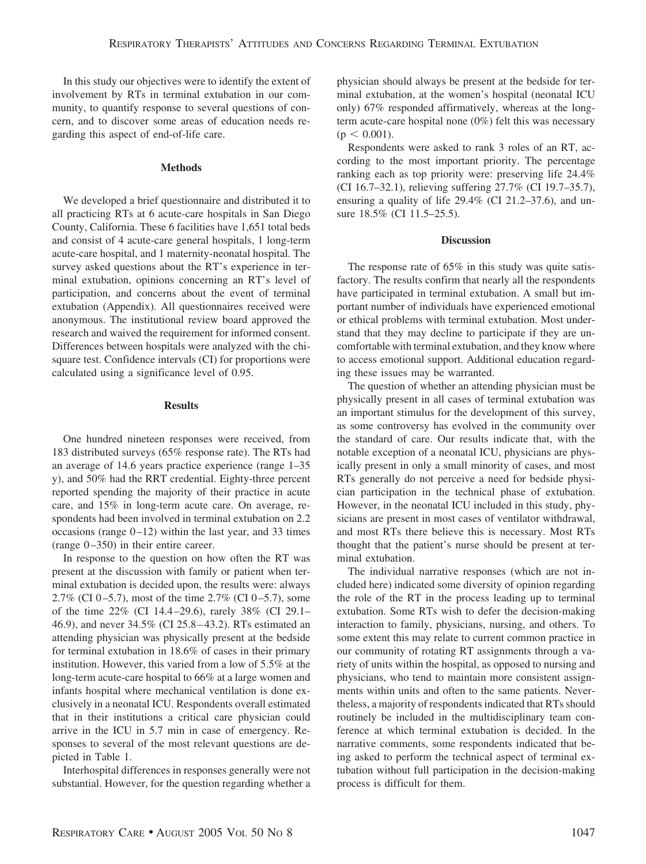In this study our objectives were to identify the extent of involvement by RTs in terminal extubation in our community, to quantify response to several questions of concern, and to discover some areas of education needs regarding this aspect of end-of-life care.

# **Methods**

We developed a brief questionnaire and distributed it to all practicing RTs at 6 acute-care hospitals in San Diego County, California. These 6 facilities have 1,651 total beds and consist of 4 acute-care general hospitals, 1 long-term acute-care hospital, and 1 maternity-neonatal hospital. The survey asked questions about the RT's experience in terminal extubation, opinions concerning an RT's level of participation, and concerns about the event of terminal extubation (Appendix). All questionnaires received were anonymous. The institutional review board approved the research and waived the requirement for informed consent. Differences between hospitals were analyzed with the chisquare test. Confidence intervals (CI) for proportions were calculated using a significance level of 0.95.

# **Results**

One hundred nineteen responses were received, from 183 distributed surveys (65% response rate). The RTs had an average of 14.6 years practice experience (range 1–35 y), and 50% had the RRT credential. Eighty-three percent reported spending the majority of their practice in acute care, and 15% in long-term acute care. On average, respondents had been involved in terminal extubation on 2.2 occasions (range  $0-12$ ) within the last year, and 33 times (range  $0-350$ ) in their entire career.

In response to the question on how often the RT was present at the discussion with family or patient when terminal extubation is decided upon, the results were: always 2.7% (CI 0-5.7), most of the time  $2.7\%$  (CI 0-5.7), some of the time 22% (CI 14.4 –29.6), rarely 38% (CI 29.1– 46.9), and never 34.5% (CI 25.8 – 43.2). RTs estimated an attending physician was physically present at the bedside for terminal extubation in 18.6% of cases in their primary institution. However, this varied from a low of 5.5% at the long-term acute-care hospital to 66% at a large women and infants hospital where mechanical ventilation is done exclusively in a neonatal ICU. Respondents overall estimated that in their institutions a critical care physician could arrive in the ICU in 5.7 min in case of emergency. Responses to several of the most relevant questions are depicted in Table 1.

Interhospital differences in responses generally were not substantial. However, for the question regarding whether a physician should always be present at the bedside for terminal extubation, at the women's hospital (neonatal ICU only) 67% responded affirmatively, whereas at the longterm acute-care hospital none (0%) felt this was necessary  $(p < 0.001)$ .

Respondents were asked to rank 3 roles of an RT, according to the most important priority. The percentage ranking each as top priority were: preserving life 24.4% (CI 16.7–32.1), relieving suffering 27.7% (CI 19.7–35.7), ensuring a quality of life 29.4% (CI 21.2–37.6), and unsure 18.5% (CI 11.5–25.5).

# **Discussion**

The response rate of 65% in this study was quite satisfactory. The results confirm that nearly all the respondents have participated in terminal extubation. A small but important number of individuals have experienced emotional or ethical problems with terminal extubation. Most understand that they may decline to participate if they are uncomfortable with terminal extubation, and they know where to access emotional support. Additional education regarding these issues may be warranted.

The question of whether an attending physician must be physically present in all cases of terminal extubation was an important stimulus for the development of this survey, as some controversy has evolved in the community over the standard of care. Our results indicate that, with the notable exception of a neonatal ICU, physicians are physically present in only a small minority of cases, and most RTs generally do not perceive a need for bedside physician participation in the technical phase of extubation. However, in the neonatal ICU included in this study, physicians are present in most cases of ventilator withdrawal, and most RTs there believe this is necessary. Most RTs thought that the patient's nurse should be present at terminal extubation.

The individual narrative responses (which are not included here) indicated some diversity of opinion regarding the role of the RT in the process leading up to terminal extubation. Some RTs wish to defer the decision-making interaction to family, physicians, nursing, and others. To some extent this may relate to current common practice in our community of rotating RT assignments through a variety of units within the hospital, as opposed to nursing and physicians, who tend to maintain more consistent assignments within units and often to the same patients. Nevertheless, a majority of respondents indicated that RTs should routinely be included in the multidisciplinary team conference at which terminal extubation is decided. In the narrative comments, some respondents indicated that being asked to perform the technical aspect of terminal extubation without full participation in the decision-making process is difficult for them.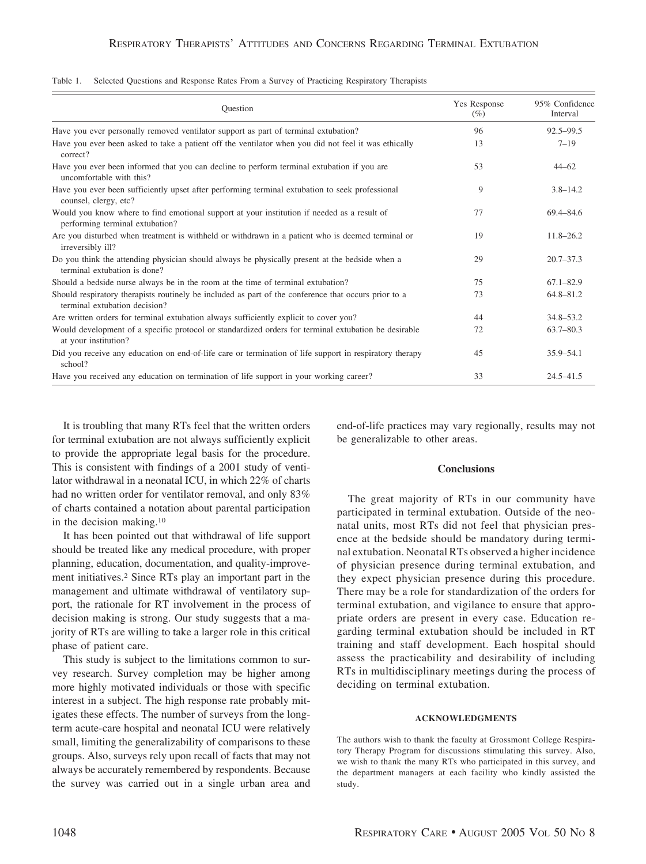| Ouestion                                                                                                                              | Yes Response<br>$(\%)$ | 95% Confidence<br>Interval |
|---------------------------------------------------------------------------------------------------------------------------------------|------------------------|----------------------------|
| Have you ever personally removed ventilator support as part of terminal extubation?                                                   | 96                     | $92.5 - 99.5$              |
| Have you ever been asked to take a patient off the ventilator when you did not feel it was ethically<br>correct?                      | 13                     | $7 - 19$                   |
| Have you ever been informed that you can decline to perform terminal extubation if you are<br>uncomfortable with this?                | 53                     | $44 - 62$                  |
| Have you ever been sufficiently upset after performing terminal extubation to seek professional<br>counsel, clergy, etc?              | 9                      | $3.8 - 14.2$               |
| Would you know where to find emotional support at your institution if needed as a result of<br>performing terminal extubation?        | 77                     | 69.4-84.6                  |
| Are you disturbed when treatment is withheld or withdrawn in a patient who is deemed terminal or<br>irreversibly ill?                 | 19                     | $11.8 - 26.2$              |
| Do you think the attending physician should always be physically present at the bedside when a<br>terminal extubation is done?        | 29                     | $20.7 - 37.3$              |
| Should a bedside nurse always be in the room at the time of terminal extubation?                                                      | 75                     | $67.1 - 82.9$              |
| Should respiratory therapists routinely be included as part of the conference that occurs prior to a<br>terminal extubation decision? | 73                     | 64.8-81.2                  |
| Are written orders for terminal extubation always sufficiently explicit to cover you?                                                 | 44                     | $34.8 - 53.2$              |
| Would development of a specific protocol or standardized orders for terminal extubation be desirable<br>at your institution?          | 72                     | $63.7 - 80.3$              |
| Did you receive any education on end-of-life care or termination of life support in respiratory therapy<br>school?                    | 45                     | $35.9 - 54.1$              |
| Have you received any education on termination of life support in your working career?                                                | 33                     | $24.5 - 41.5$              |

Table 1. Selected Questions and Response Rates From a Survey of Practicing Respiratory Therapists

It is troubling that many RTs feel that the written orders for terminal extubation are not always sufficiently explicit to provide the appropriate legal basis for the procedure. This is consistent with findings of a 2001 study of ventilator withdrawal in a neonatal ICU, in which 22% of charts had no written order for ventilator removal, and only 83% of charts contained a notation about parental participation in the decision making.10

It has been pointed out that withdrawal of life support should be treated like any medical procedure, with proper planning, education, documentation, and quality-improvement initiatives.2 Since RTs play an important part in the management and ultimate withdrawal of ventilatory support, the rationale for RT involvement in the process of decision making is strong. Our study suggests that a majority of RTs are willing to take a larger role in this critical phase of patient care.

This study is subject to the limitations common to survey research. Survey completion may be higher among more highly motivated individuals or those with specific interest in a subject. The high response rate probably mitigates these effects. The number of surveys from the longterm acute-care hospital and neonatal ICU were relatively small, limiting the generalizability of comparisons to these groups. Also, surveys rely upon recall of facts that may not always be accurately remembered by respondents. Because the survey was carried out in a single urban area and end-of-life practices may vary regionally, results may not be generalizable to other areas.

### **Conclusions**

The great majority of RTs in our community have participated in terminal extubation. Outside of the neonatal units, most RTs did not feel that physician presence at the bedside should be mandatory during terminal extubation. Neonatal RTs observed a higher incidence of physician presence during terminal extubation, and they expect physician presence during this procedure. There may be a role for standardization of the orders for terminal extubation, and vigilance to ensure that appropriate orders are present in every case. Education regarding terminal extubation should be included in RT training and staff development. Each hospital should assess the practicability and desirability of including RTs in multidisciplinary meetings during the process of deciding on terminal extubation.

### **ACKNOWLEDGMENTS**

The authors wish to thank the faculty at Grossmont College Respiratory Therapy Program for discussions stimulating this survey. Also, we wish to thank the many RTs who participated in this survey, and the department managers at each facility who kindly assisted the study.